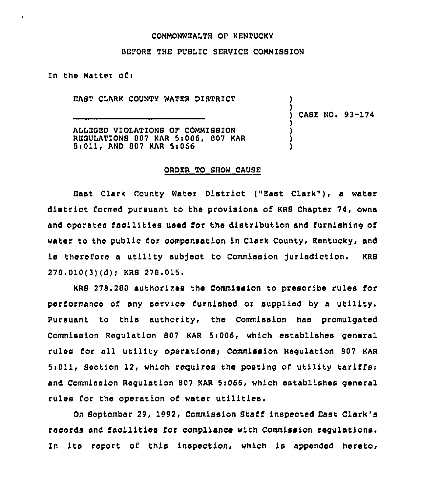## CONNONWEALTH OF KENTUCKY

## BEFORE THE PUBLIC SERVICE CONMISSION

In the Natter of <sup>i</sup>

EAST CLARK COUNTY WATER DISTRICT

) CASE NO. 93-174

) )

) ) ) )

ALLEGED VIOLATIONS OF COMMISSION REOULATIONS 807 KAR 5r006, 807 KAR 5iOll, AND 807 KAR St066

## ORDER TO SHOW CAUSE

East Clark County Water District ("East Clark" ), <sup>a</sup> water district formed pursuant to the provisions of KRS Chapter 74, owns and operates facilities used for the distribution and furnishing of water to the public for compensation in Clark County, Kentucky, and is therefore a utility subject to Commission jurisdiction. KRS 278.010(3)(d); KRS 278.015.

KRS 278.280 authorizes the Commission to prescribe rules ior performance o6 any service furnished or supplied by <sup>a</sup> utility. Pursuant to this authority, the Commission has promulgated Commission Regulation 807 KAR 5:006, which establishes general rules for all utility operations; Commission Regulation 807 KAR Si011, Section 12, which requires the posting of utility tariffst and Commission Regulation 807 KAR 5:066, which establishes general rules for the operation of water utilities.

On September 29, 1992, Commission Staff inspected East Clark's records and facilities for compliance with Commission regulations. In its report of this inspection, which is appended hereto,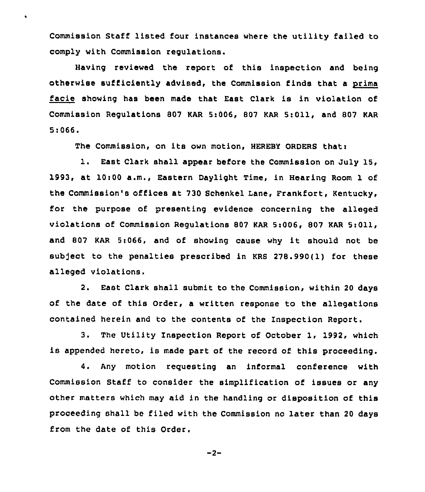Commission Staff listed four instances where the utility failed to comply with Commission regulations.

 $\bullet$ 

Having reviewed the report of this inspection and being otherwise sufficiently advised, the Commission finds that a prima facie showing has been made that East Clark is in violation of Commission Regulations 807 KAR 5:006, 807 KAR 5:011, and 807 KAR 5>066.

The Commission, on its own motion, HEREBY ORDERS thati

l. East Clark shall appear before the Commission on July 15, 1993, at 10t00 a.m., Eastern Daylight Time, in Hearing Room 1 of the Commission's offices at 730 Schenkel Lane, Frankfort, Kentucky, for the purpose of presenting evidence concerning the alleged violations of Commission Regulations 807 KAR 5:006, 807 KAR 5:011, and <sup>807</sup> KAR 5i066, and of showing cause why it should not be subject to the penalties prescribed in KRS 278.990(1) for these alleged violations.

2. East Clark shall submit to the Commission, within 20 days of the date of this Order, a written response to the allegations contained herein and to the contents of the Inspection Report.

3. The Utility Inspection Report of October 1, 1992, which is appended hereto, is made part of the record of this proceeding.

4. Any motion reguesting an informal conference with Commission Staff to consider the simplification of issues or any other matters which may aid in the handling or disposition of this proceeding shall be filed with the Commission no later than 20 days from the date of this Order.

$$
-2 -
$$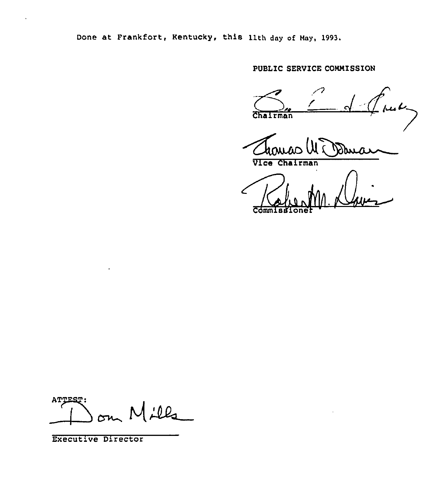Done at Frankfort, Kentucky, this 11th day of Nay, 1993.

PUBLIC SERVICE COMMISSION

 $\frac{1}{2}$  fm  $\epsilon$ Chairman

hoi

Vice Chairman

 $\sqrt{\frac{1}{2}}$  $\overline{\mathtt{Commi}}$ 

ATTEST:  $\overline{\phantom{0}}$ 

Executive Director